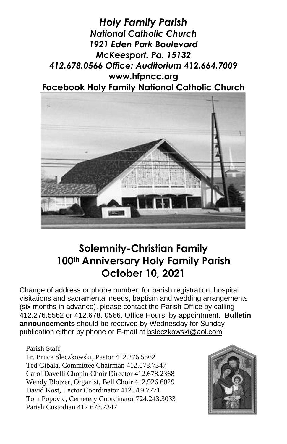



# **Solemnity-Christian Family 100th Anniversary Holy Family Parish October 10, 2021**

Change of address or phone number, for parish registration, hospital visitations and sacramental needs, baptism and wedding arrangements (six months in advance), please contact the Parish Office by calling 412.276.5562 or 412.678. 0566. Office Hours: by appointment. **Bulletin announcements** should be received by Wednesday for Sunday publication either by phone or E-mail at [bsleczkowski@aol.com](mailto:bsleczkowski@aol.com)

#### Parish Staff:

Fr. Bruce Sleczkowski, Pastor 412.276.5562 Ted Gibala, Committee Chairman 412.678.7347 Carol Davelli Chopin Choir Director 412.678.2368 Wendy Blotzer, Organist, Bell Choir 412.926.6029 David Kost, Lector Coordinator 412.519.7771 Tom Popovic, Cemetery Coordinator 724.243.3033 Parish Custodian 412.678.7347

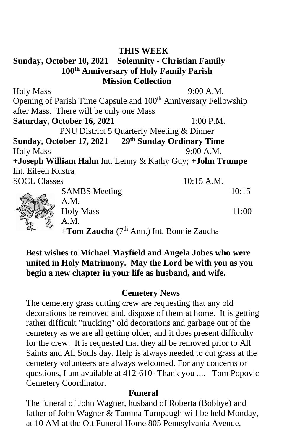### **THIS WEEK**

## **Sunday, October 10, 2021 Solemnity - Christian Family 100th Anniversary of Holy Family Parish Mission Collection**

Holy Mass 9:00 A.M. Opening of Parish Time Capsule and 100<sup>th</sup> Anniversary Fellowship after Mass. There will be only one Mass **Saturday, October 16, 2021** 1:00 P.M. PNU District 5 Quarterly Meeting & Dinner **Sunday, October 17, 2021 29th Sunday Ordinary Time** Holy Mass 9:00 A.M. **+Joseph William Hahn** Int. Lenny & Kathy Guy; **+John Trumpe** Int. Eileen Kustra SOCL Classes 10:15 A.M. SAMBS Meeting 10:15 A.M. Holy Mass 11:00 A.M. **+Tom Zaucha** (7th Ann.) Int. Bonnie Zaucha

## **Best wishes to Michael Mayfield and Angela Jobes who were united in Holy Matrimony. May the Lord be with you as you begin a new chapter in your life as husband, and wife.**

### **Cemetery News**

The cemetery grass cutting crew are requesting that any old decorations be removed and. dispose of them at home. It is getting rather difficult "trucking" old decorations and garbage out of the cemetery as we are all getting older, and it does present difficulty for the crew. It is requested that they all be removed prior to All Saints and All Souls day. Help is always needed to cut grass at the cemetery volunteers are always welcomed. For any concerns or questions, I am available at 412-610- Thank you .... Tom Popovic Cemetery Coordinator.

#### **Funeral**

The funeral of John Wagner, husband of Roberta (Bobbye) and father of John Wagner & Tamma Turnpaugh will be held Monday, at 10 AM at the Ott Funeral Home 805 Pennsylvania Avenue,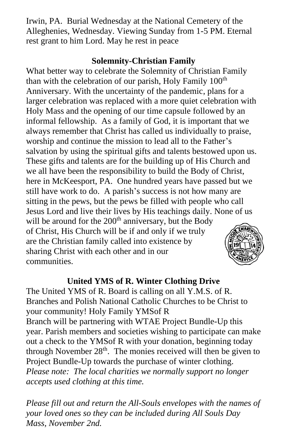Irwin, PA. Burial Wednesday at the National Cemetery of the Alleghenies, Wednesday. Viewing Sunday from 1-5 PM. Eternal rest grant to him Lord. May he rest in peace

# **Solemnity-Christian Family**

What better way to celebrate the Solemnity of Christian Family than with the celebration of our parish, Holy Family  $100<sup>th</sup>$ Anniversary. With the uncertainty of the pandemic, plans for a larger celebration was replaced with a more quiet celebration with Holy Mass and the opening of our time capsule followed by an informal fellowship. As a family of God, it is important that we always remember that Christ has called us individually to praise, worship and continue the mission to lead all to the Father's salvation by using the spiritual gifts and talents bestowed upon us. These gifts and talents are for the building up of His Church and we all have been the responsibility to build the Body of Christ, here in McKeesport, PA. One hundred years have passed but we still have work to do. A parish's success is not how many are sitting in the pews, but the pews be filled with people who call Jesus Lord and live their lives by His teachings daily. None of us will be around for the  $200<sup>th</sup>$  anniversary, but the Body of Christ, His Church will be if and only if we truly are the Christian family called into existence by sharing Christ with each other and in our communities.

# **United YMS of R. Winter Clothing Drive**

The United YMS of R. Board is calling on all Y.M.S. of R. Branches and Polish National Catholic Churches to be Christ to your community! Holy Family YMSof R Branch will be partnering with WTAE Project Bundle-Up this year. Parish members and societies wishing to participate can make out a check to the YMSof R with your donation, beginning today through November  $28<sup>th</sup>$ . The monies received will then be given to Project Bundle-Up towards the purchase of winter clothing. *Please note: The local charities we normally support no longer accepts used clothing at this time.*

*Please fill out and return the All-Souls envelopes with the names of your loved ones so they can be included during All Souls Day Mass, November 2nd.*